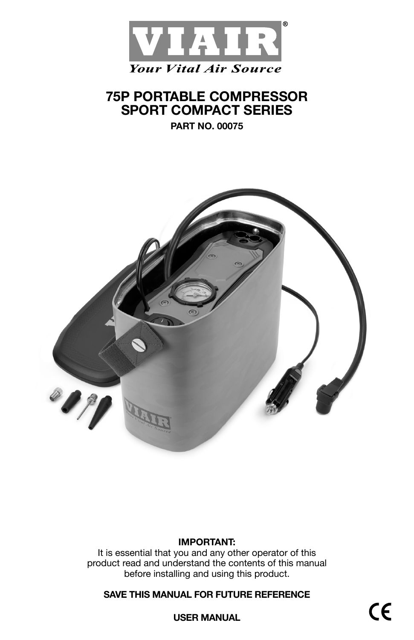

# **75P PORTABLE COMPRESSOR SPORT COMPACT SERIES**

**PART NO. 00075**



## **IMPORTANT:**

It is essential that you and any other operator of this product read and understand the contents of this manual before installing and using this product.

## **SAVE THIS MANUAL FOR FUTURE REFERENCE**

**USER MANUAL**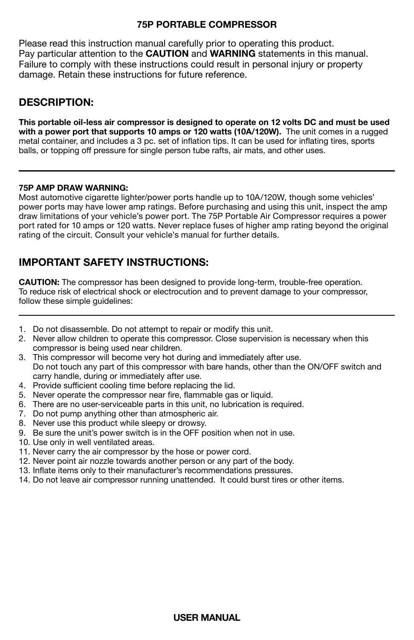### **75P PORTABLE COMPRESSOR**

Please read this instruction manual carefully prior to operating this product. Pay particular attention to the **CAUTION** and **WARNING** statements in this manual. Failure to comply with these instructions could result in personal injury or property damage. Retain these instructions for future reference.

## **DESCRIPTION:**

**This portable oil-less air compressor is designed to operate on 12 volts DC and must be used with a power port that supports 10 amps or 120 watts (10A/120W).** The unit comes in a rugged metal container, and includes a 3 pc. set of inflation tips. It can be used for inflating tires, sports balls, or topping off pressure for single person tube rafts, air mats, and other uses.

### **75P AMP DRAW WARNING:**

Most automotive cigarette lighter/power ports handle up to 10A/120W, though some vehicles' power ports may have lower amp ratings. Before purchasing and using this unit, inspect the amp draw limitations of your vehicle's power port. The 75P Portable Air Compressor requires a power port rated for 10 amps or 120 watts. Never replace fuses of higher amp rating beyond the original rating of the circuit. Consult your vehicle's manual for further details.

## **IMPORTANT SAFETY INSTRUCTIONS:**

**CAUTION:** The compressor has been designed to provide long-term, trouble-free operation. To reduce risk of electrical shock or electrocution and to prevent damage to your compressor, follow these simple guidelines:

- 1. Do not disassemble. Do not attempt to repair or modify this unit.
- 2. Never allow children to operate this compressor. Close supervision is necessary when this compressor is being used near children.
- 3. This compressor will become very hot during and immediately after use. Do not touch any part of this compressor with bare hands, other than the ON/OFF switch and
- carry handle, during or immediately after use.
- 4. Provide sufficient cooling time before replacing the lid.
- 5. Never operate the compressor near fire, flammable gas or liquid.
- 6. There are no user-serviceable parts in this unit, no lubrication is required.
- 7. Do not pump anything other than atmospheric air.
- 8. Never use this product while sleepy or drowsy.
- 9. Be sure the unit's power switch is in the OFF position when not in use.
- 10. Use only in well ventilated areas.
- 11. Never carry the air compressor by the hose or power cord.
- 12. Never point air nozzle towards another person or any part of the body.
- 13. Inflate items only to their manufacturer's recommendations pressures.
- 14. Do not leave air compressor running unattended. It could burst tires or other items.

### **USER MANUAL**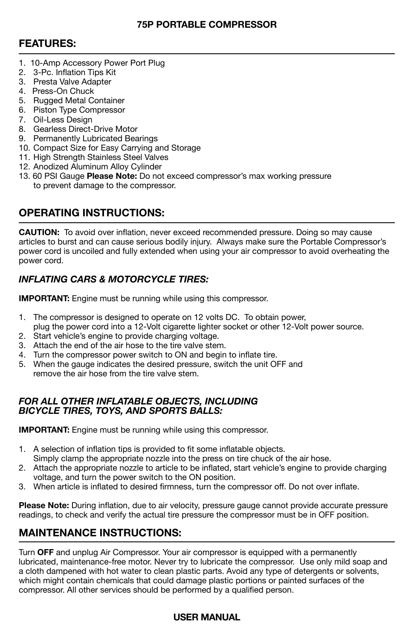## **75P PORTABLE COMPRESSOR**

## **FEATURES:**

- 1. 10-Amp Accessory Power Port Plug
- 2. 3-Pc. Inflation Tips Kit
- 3. Presta Valve Adapter
- 4. Press-On Chuck
- 5. Rugged Metal Container
- 6. Piston Type Compressor
- 7. Oil-Less Design
- 8. Gearless Direct-Drive Motor
- 9. Permanently Lubricated Bearings
- 10. Compact Size for Easy Carrying and Storage
- 11. High Strength Stainless Steel Valves
- 12. Anodized Aluminum Alloy Cylinder
- 13. 60 PSI Gauge **Please Note:** Do not exceed compressor's max working pressure to prevent damage to the compressor.

## **OPERATING INSTRUCTIONS:**

**CAUTION:** To avoid over inflation, never exceed recommended pressure. Doing so may cause articles to burst and can cause serious bodily injury. Always make sure the Portable Compressor's power cord is uncoiled and fully extended when using your air compressor to avoid overheating the power cord.

## *INFLATING CARS & MOTORCYCLE TIRES:*

**IMPORTANT:** Engine must be running while using this compressor.

- 1. The compressor is designed to operate on 12 volts DC. To obtain power, plug the power cord into a 12-Volt cigarette lighter socket or other 12-Volt power source.
- 2. Start vehicle's engine to provide charging voltage.
- 3. Attach the end of the air hose to the tire valve stem.
- 4. Turn the compressor power switch to ON and begin to inflate tire.
- 5. When the gauge indicates the desired pressure, switch the unit OFF and remove the air hose from the tire valve stem.

### *FOR ALL OTHER INFLATABLE OBJECTS, INCLUDING BICYCLE TIRES, TOYS, AND SPORTS BALLS:*

**IMPORTANT:** Engine must be running while using this compressor.

- 1. A selection of inflation tips is provided to fit some inflatable objects. Simply clamp the appropriate nozzle into the press on tire chuck of the air hose.
- 2. Attach the appropriate nozzle to article to be inflated, start vehicle's engine to provide charging voltage, and turn the power switch to the ON position.
- 3. When article is inflated to desired firmness, turn the compressor off. Do not over inflate.

**Please Note:** During inflation, due to air velocity, pressure gauge cannot provide accurate pressure readings, to check and verify the actual tire pressure the compressor must be in OFF position.

## **MAINTENANCE INSTRUCTIONS:**

Turn **OFF** and unplug Air Compressor. Your air compressor is equipped with a permanently lubricated, maintenance-free motor. Never try to lubricate the compressor. Use only mild soap and a cloth dampened with hot water to clean plastic parts. Avoid any type of detergents or solvents, which might contain chemicals that could damage plastic portions or painted surfaces of the compressor. All other services should be performed by a qualified person.

## **USER MANUAL**